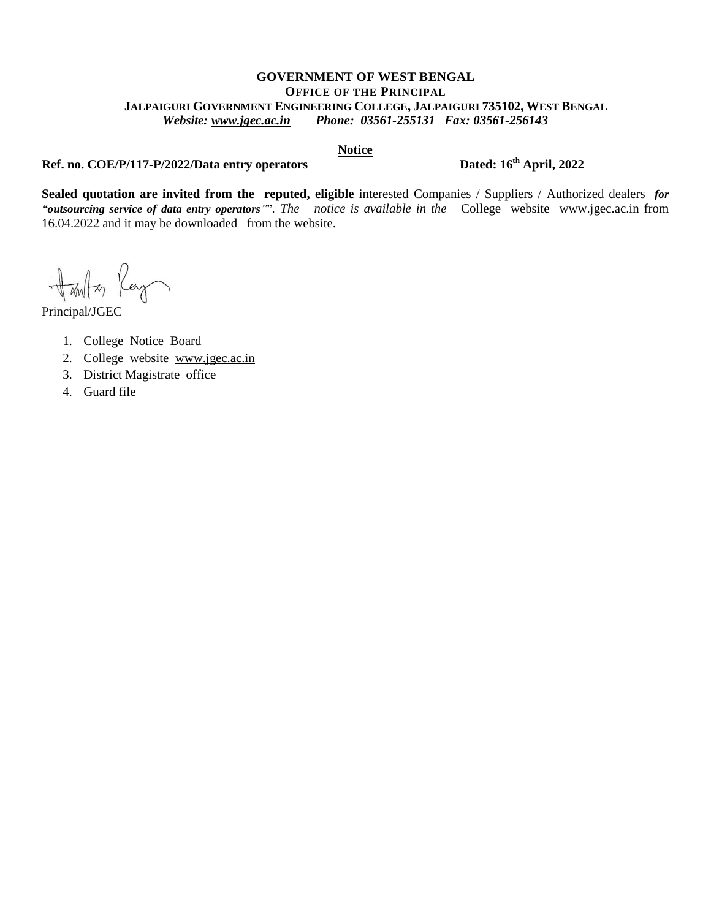#### **GOVERNMENT OF WEST BENGAL OFFICE OF THE PRINCIPAL JALPAIGURI GOVERNMENT ENGINEERING COLLEGE, JALPAIGURI 735102, WEST BENGAL** *Website: [www.jgec.ac.in](http://www.jgec.ac.in/) Phone: 03561-255131 Fax: 03561-256143*

#### **Notice**

### **Ref. no. COE/P/117-P/2022/Data entry operators** Dated: 16<sup>th</sup> April, 2022

**Sealed quotation are invited from the reputed, eligible** interested Companies / Suppliers / Authorized dealers *for "outsourcing service of data entry operators"*"*. The notice is available in the* College website [www.jgec.ac.in](http://www.jgec.ac.in/) from 16.04.2022 and it may be downloaded from the website.

Hanta Ray

Principal/JGEC

- 1. College Notice Board
- 2. College website [www.jgec.ac.in](http://www.jgec.ac.in/)
- 3. District Magistrate office
- 4. Guard file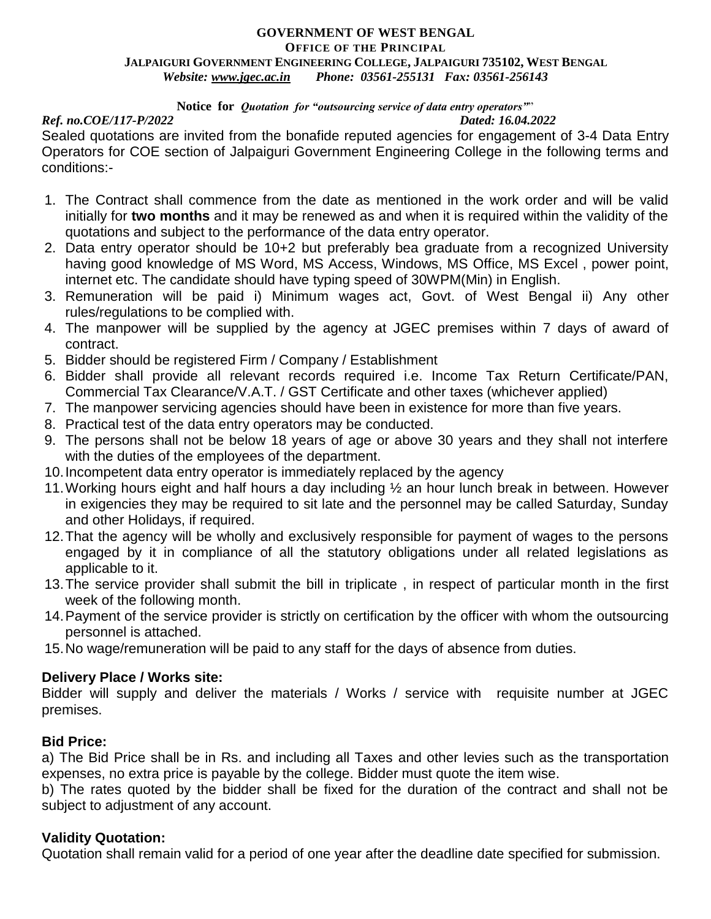#### **GOVERNMENT OF WEST BENGAL OFFICE OF THE PRINCIPAL JALPAIGURI GOVERNMENT ENGINEERING COLLEGE, JALPAIGURI 735102, WEST BENGAL** *Website: [www.jgec.ac.in](http://www.jgec.ac.in/) Phone: 03561-255131 Fax: 03561-256143*

#### **Notice for** *Quotation for "outsourcing service of data entry operators"*"

#### *Ref. no.COE/117-P/2022 Dated: 16.04.2022*

Sealed quotations are invited from the bonafide reputed agencies for engagement of 3-4 Data Entry Operators for COE section of Jalpaiguri Government Engineering College in the following terms and conditions:-

- 1. The Contract shall commence from the date as mentioned in the work order and will be valid initially for **two months** and it may be renewed as and when it is required within the validity of the quotations and subject to the performance of the data entry operator.
- 2. Data entry operator should be 10+2 but preferably bea graduate from a recognized University having good knowledge of MS Word, MS Access, Windows, MS Office, MS Excel , power point, internet etc. The candidate should have typing speed of 30WPM(Min) in English.
- 3. Remuneration will be paid i) Minimum wages act, Govt. of West Bengal ii) Any other rules/regulations to be complied with.
- 4. The manpower will be supplied by the agency at JGEC premises within 7 days of award of contract.
- 5. Bidder should be registered Firm / Company / Establishment
- 6. Bidder shall provide all relevant records required i.e. Income Tax Return Certificate/PAN, Commercial Tax Clearance/V.A.T. / GST Certificate and other taxes (whichever applied)
- 7. The manpower servicing agencies should have been in existence for more than five years.
- 8. Practical test of the data entry operators may be conducted.
- 9. The persons shall not be below 18 years of age or above 30 years and they shall not interfere with the duties of the employees of the department.
- 10.Incompetent data entry operator is immediately replaced by the agency
- 11.Working hours eight and half hours a day including ½ an hour lunch break in between. However in exigencies they may be required to sit late and the personnel may be called Saturday, Sunday and other Holidays, if required.
- 12.That the agency will be wholly and exclusively responsible for payment of wages to the persons engaged by it in compliance of all the statutory obligations under all related legislations as applicable to it.
- 13.The service provider shall submit the bill in triplicate , in respect of particular month in the first week of the following month.
- 14.Payment of the service provider is strictly on certification by the officer with whom the outsourcing personnel is attached.
- 15.No wage/remuneration will be paid to any staff for the days of absence from duties.

### **Delivery Place / Works site:**

Bidder will supply and deliver the materials / Works / service with requisite number at JGEC premises.

# **Bid Price:**

a) The Bid Price shall be in Rs. and including all Taxes and other levies such as the transportation expenses, no extra price is payable by the college. Bidder must quote the item wise.

b) The rates quoted by the bidder shall be fixed for the duration of the contract and shall not be subject to adjustment of any account.

# **Validity Quotation:**

Quotation shall remain valid for a period of one year after the deadline date specified for submission.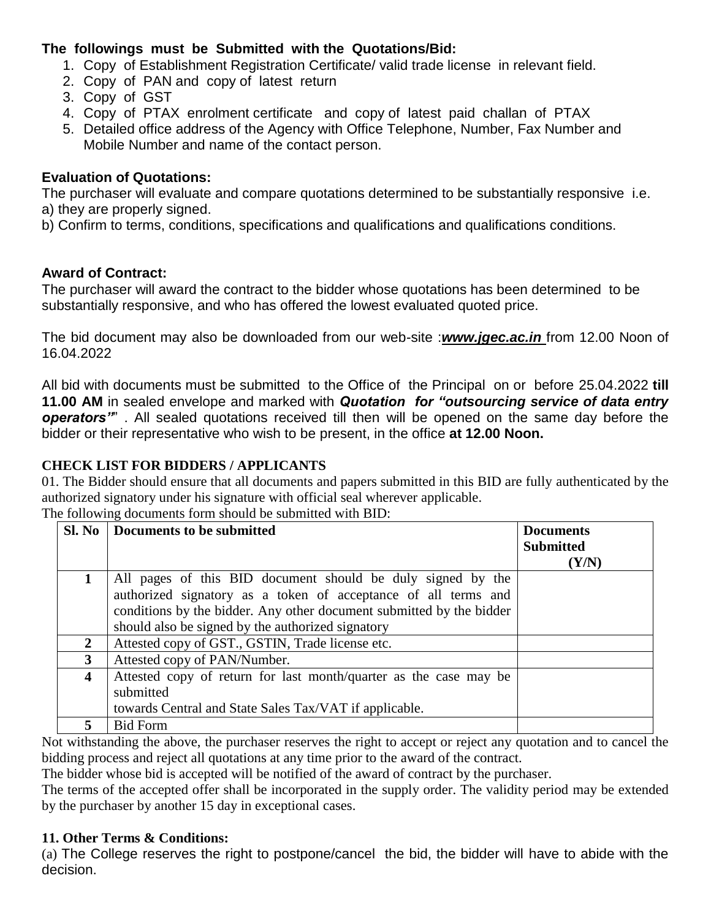# **The followings must be Submitted with the Quotations/Bid:**

- 1. Copy of Establishment Registration Certificate/ valid trade license in relevant field.
- 2. Copy of PAN and copy of latest return
- 3. Copy of GST
- 4. Copy of PTAX enrolment certificate and copy of latest paid challan of PTAX
- 5. Detailed office address of the Agency with Office Telephone, Number, Fax Number and Mobile Number and name of the contact person.

## **Evaluation of Quotations:**

The purchaser will evaluate and compare quotations determined to be substantially responsive i.e. a) they are properly signed.

b) Confirm to terms, conditions, specifications and qualifications and qualifications conditions.

# **Award of Contract:**

The purchaser will award the contract to the bidder whose quotations has been determined to be substantially responsive, and who has offered the lowest evaluated quoted price.

The bid document may also be downloaded from our web-site :*[www.jgec.ac.in](http://www.jgec.ac.in/)* from 12.00 Noon of 16.04.2022

All bid with documents must be submitted to the Office of the Principal on or before 25.04.2022 **till 11.00 AM** in sealed envelope and marked with *Quotation for "outsourcing service of data entry operators"*" . All sealed quotations received till then will be opened on the same day before the bidder or their representative who wish to be present, in the office **at 12.00 Noon.**

### **CHECK LIST FOR BIDDERS / APPLICANTS**

01. The Bidder should ensure that all documents and papers submitted in this BID are fully authenticated by the authorized signatory under his signature with official seal wherever applicable. The following documents form should be submitted with BID:

|                | Sl. No   Documents to be submitted                                   | <b>Documents</b><br><b>Submitted</b> |
|----------------|----------------------------------------------------------------------|--------------------------------------|
|                |                                                                      | (Y/N)                                |
| $\mathbf 1$    | All pages of this BID document should be duly signed by the          |                                      |
|                | authorized signatory as a token of acceptance of all terms and       |                                      |
|                | conditions by the bidder. Any other document submitted by the bidder |                                      |
|                | should also be signed by the authorized signatory                    |                                      |
| $\overline{2}$ | Attested copy of GST., GSTIN, Trade license etc.                     |                                      |
| 3              | Attested copy of PAN/Number.                                         |                                      |
| 4              | Attested copy of return for last month/quarter as the case may be    |                                      |
|                | submitted                                                            |                                      |
|                | towards Central and State Sales Tax/VAT if applicable.               |                                      |
| 5.             | <b>Bid Form</b>                                                      |                                      |

Not withstanding the above, the purchaser reserves the right to accept or reject any quotation and to cancel the bidding process and reject all quotations at any time prior to the award of the contract.

The bidder whose bid is accepted will be notified of the award of contract by the purchaser.

The terms of the accepted offer shall be incorporated in the supply order. The validity period may be extended by the purchaser by another 15 day in exceptional cases.

### **11. Other Terms & Conditions:**

(a) The College reserves the right to postpone/cancel the bid, the bidder will have to abide with the decision.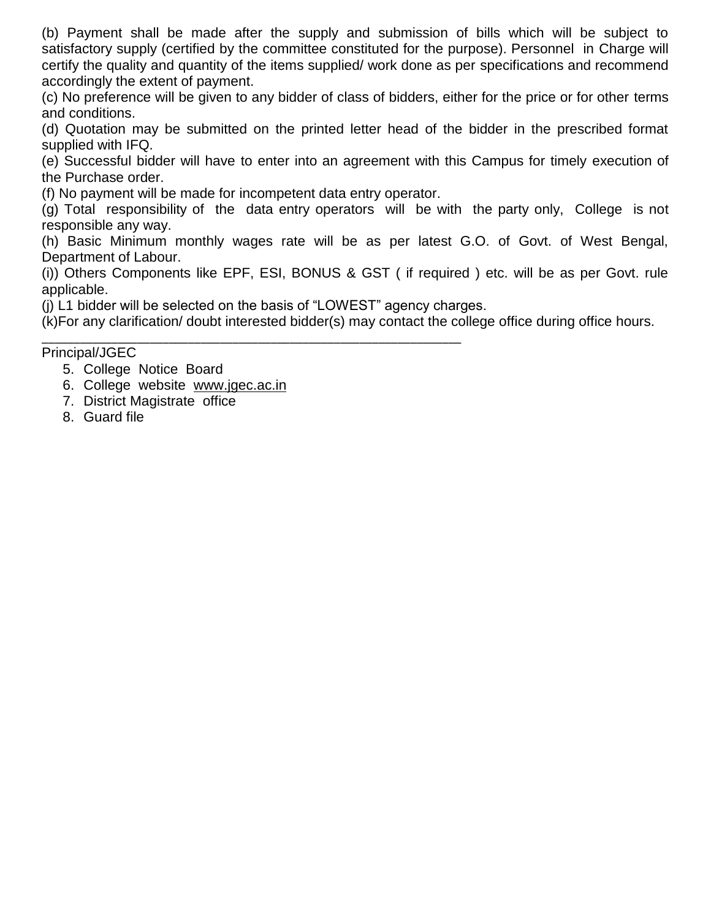(b) Payment shall be made after the supply and submission of bills which will be subject to satisfactory supply (certified by the committee constituted for the purpose). Personnel in Charge will certify the quality and quantity of the items supplied/ work done as per specifications and recommend accordingly the extent of payment.

(c) No preference will be given to any bidder of class of bidders, either for the price or for other terms and conditions.

(d) Quotation may be submitted on the printed letter head of the bidder in the prescribed format supplied with IFQ.

(e) Successful bidder will have to enter into an agreement with this Campus for timely execution of the Purchase order.

(f) No payment will be made for incompetent data entry operator.

(g) Total responsibility of the data entry operators will be with the party only, College is not responsible any way.

(h) Basic Minimum monthly wages rate will be as per latest G.O. of Govt. of West Bengal, Department of Labour.

(i)) Others Components like EPF, ESI, BONUS & GST ( if required ) etc. will be as per Govt. rule applicable.

(j) L1 bidder will be selected on the basis of "LOWEST" agency charges.

(k)For any clarification/ doubt interested bidder(s) may contact the college office during office hours.

\_\_\_\_\_\_\_\_\_\_\_\_\_\_\_\_\_\_\_\_\_\_\_\_\_\_\_\_\_\_\_\_\_\_\_\_\_\_\_\_\_\_\_\_\_\_\_\_\_\_\_\_\_\_\_\_\_\_\_\_\_\_\_\_\_\_ Principal/JGEC

- 5. College Notice Board
- 6. College website [www.jgec.ac.in](http://www.jgec.ac.in/)
- 7. District Magistrate office
- 8. Guard file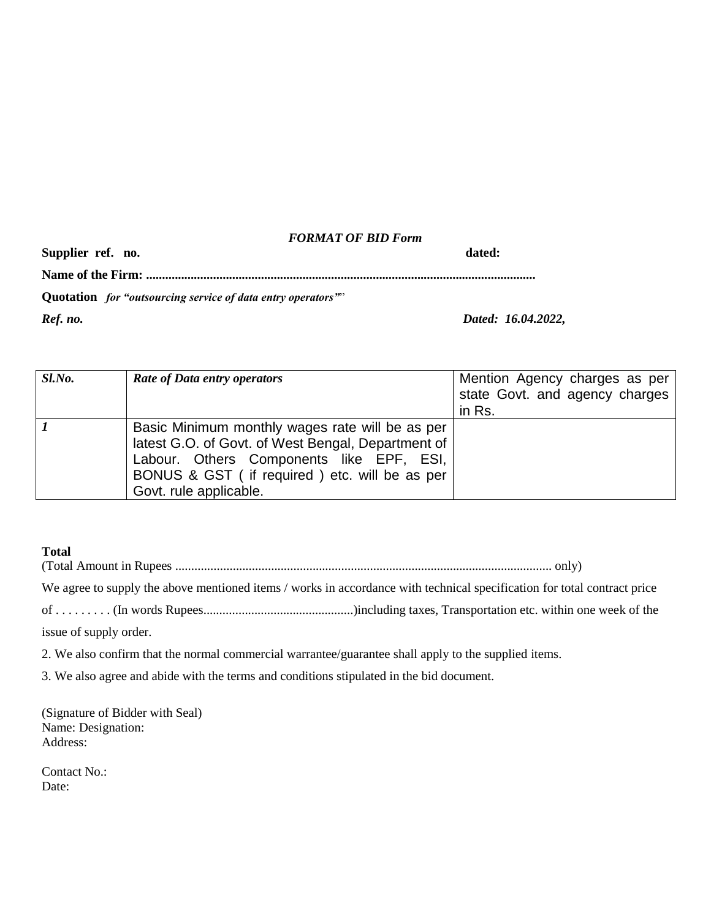### *FORMAT OF BID Form*

| Supplier ref. no.                                           | dated:             |  |  |  |
|-------------------------------------------------------------|--------------------|--|--|--|
|                                                             |                    |  |  |  |
| Quotation for "outsourcing service of data entry operators" |                    |  |  |  |
| Ref. no.                                                    | Dated: 16.04.2022, |  |  |  |

| Sl.No. | <b>Rate of Data entry operators</b>                                                                                                                                                                                          | Mention Agency charges as per<br>state Govt. and agency charges<br>in Rs. |
|--------|------------------------------------------------------------------------------------------------------------------------------------------------------------------------------------------------------------------------------|---------------------------------------------------------------------------|
|        | Basic Minimum monthly wages rate will be as per<br>latest G.O. of Govt. of West Bengal, Department of<br>Labour. Others Components like EPF, ESI,<br>BONUS & GST (if required) etc. will be as per<br>Govt. rule applicable. |                                                                           |

### **Total**

(Total Amount in Rupees ...................................................................................................................... only)

We agree to supply the above mentioned items / works in accordance with technical specification for total contract price

of . . . . . . . . . (In words Rupees...............................................)including taxes, Transportation etc. within one week of the

issue of supply order.

2. We also confirm that the normal commercial warrantee/guarantee shall apply to the supplied items.

3. We also agree and abide with the terms and conditions stipulated in the bid document.

(Signature of Bidder with Seal) Name: Designation: Address:

Contact No.: Date: